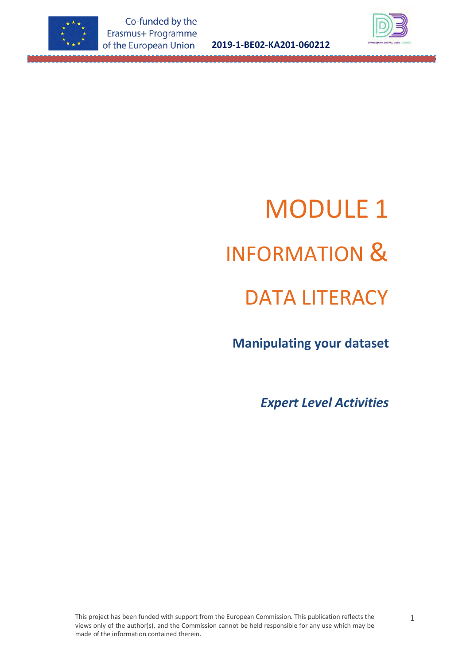



# MODULE 1 INFORMATION & DATA LITERACY

 **Manipulating your dataset**

*Expert Level Activities*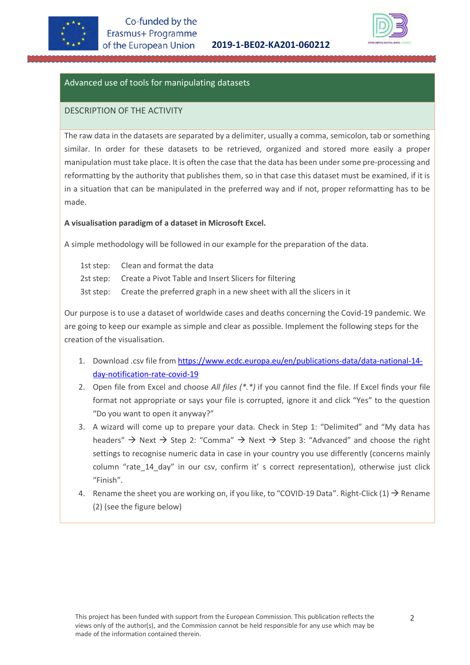



# Advanced use of tools for manipulating datasets

### DESCRIPTION OF THE ACTIVITY

The raw data in the datasets are separated by a delimiter, usually a comma, semicolon, tab or something similar. In order for these datasets to be retrieved, organized and stored more easily a proper manipulation must take place. It is often the case that the data has been under some pre-processing and reformatting by the authority that publishes them, so in that case this dataset must be examined, if it is in a situation that can be manipulated in the preferred way and if not, proper reformatting has to be made.

#### **A visualisation paradigm of a dataset in Microsoft Excel.**

A simple methodology will be followed in our example for the preparation of the data.

1st step: Clean and format the data 2st step: Create a Pivot Table and Insert Slicers for filtering 3st step: Create the preferred graph in a new sheet with all the slicers in it

Our purpose is to use a dataset of worldwide cases and deaths concerning the Covid-19 pandemic. We are going to keep our example as simple and clear as possible. Implement the following steps for the creation of the visualisation.

- 1. Download .csv file fro[m https://www.ecdc.europa.eu/en/publications-data/data-national-14](https://www.ecdc.europa.eu/en/publications-data/data-national-14-day-notification-rate-covid-19) [day-notification-rate-covid-19](https://www.ecdc.europa.eu/en/publications-data/data-national-14-day-notification-rate-covid-19)
- 2. Open file from Excel and choose *All files (\*.\*)* if you cannot find the file. If Excel finds your file format not appropriate or says your file is corrupted, ignore it and click "Yes" to the question "Do you want to open it anyway?"
- 3. A wizard will come up to prepare your data. Check in Step 1: "Delimited" and "My data has headers"  $\rightarrow$  Next  $\rightarrow$  Step 2: "Comma"  $\rightarrow$  Next  $\rightarrow$  Step 3: "Advanced" and choose the right settings to recognise numeric data in case in your country you use differently (concerns mainly column "rate 14 day" in our csv, confirm it' s correct representation), otherwise just click "Finish".
- 4. Rename the sheet you are working on, if you like, to "COVID-19 Data". Right-Click (1)  $\rightarrow$  Rename (2) (see the figure below)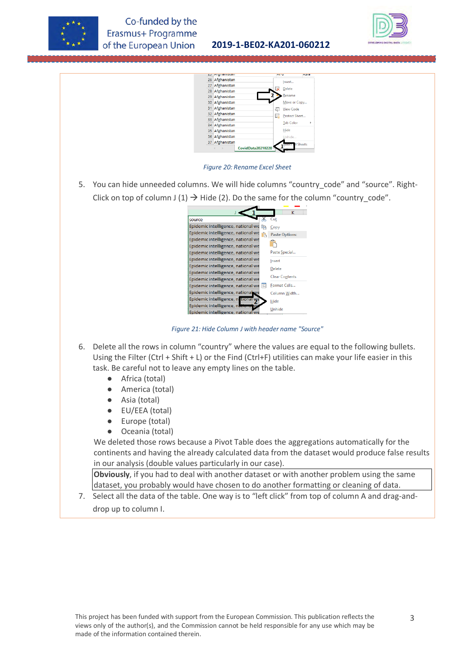





*Figure 20: Rename Excel Sheet*

5. You can hide unneeded columns. We will hide columns "country\_code" and "source". Right-Click on top of column J (1)  $\rightarrow$  Hide (2). Do the same for the column "country\_code".

|                                          | ĸ                     |
|------------------------------------------|-----------------------|
| source                                   | Cut                   |
| Epidemic intelligence, national we<br>le | Copy                  |
| Epidemic intelligence, national we<br>ĥ, | <b>Paste Options:</b> |
| Epidemic intelligence, national we       |                       |
| Epidemic intelligence, national we       |                       |
| Epidemic intelligence, national we       | Paste Special         |
| Epidemic intelligence, national we       | Insert                |
| Epidemic intelligence, national we       | Delete                |
| Epidemic intelligence, national we       | <b>Clear Contents</b> |
| Epidemic intelligence, national we       |                       |
| Epidemic intelligence, national we<br>z  | Format Cells          |
| Epidemic intelligence, national we       | Column Width          |
| Epidemic intelligence, n. tional we      | Hide                  |
| Epidemic intelligence, national          | Unhide                |
| Epidemic intelligence, national we       |                       |

*Figure 21: Hide Column J with header name "Source"*

- 6. Delete all the rows in column "country" where the values are equal to the following bullets. Using the Filter (Ctrl + Shift + L) or the Find (Ctrl+F) utilities can make your life easier in this task. Be careful not to leave any empty lines on the table.
	- Africa (total)
	- America (total)
	- Asia (total)
	- EU/EEA (total)
	- Europe (total)
	- Oceania (total)

We deleted those rows because a Pivot Table does the aggregations automatically for the continents and having the already calculated data from the dataset would produce false results in our analysis (double values particularly in our case).

**Obviously**, if you had to deal with another dataset or with another problem using the same dataset, you probably would have chosen to do another formatting or cleaning of data.

7. Select all the data of the table. One way is to "left click" from top of column A and drag-anddrop up to column I.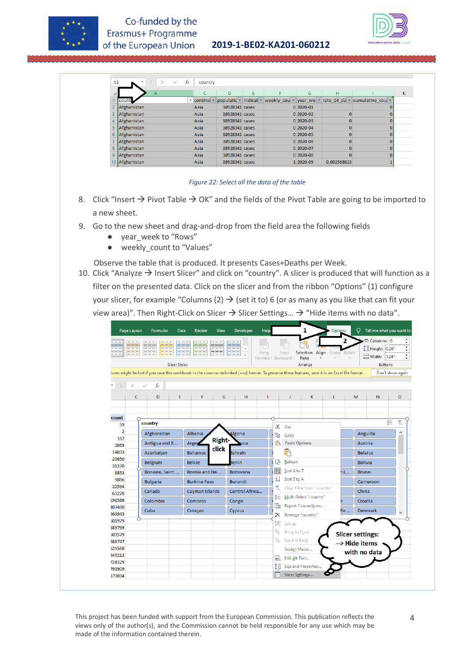

| A1 | fx<br>$>\,$<br>v  | country                                                   |                |   |             |             |                                                                                                                                              |   |
|----|-------------------|-----------------------------------------------------------|----------------|---|-------------|-------------|----------------------------------------------------------------------------------------------------------------------------------------------|---|
|    | $\mathsf{A}$      |                                                           | D              | F | G           | н           |                                                                                                                                              | κ |
|    | coun <sup>'</sup> | $\overline{\phantom{a}}$ contine $\overline{\phantom{a}}$ |                |   |             |             | populatic $\mathbf{v}$ indicat $\mathbf{v}$ weekly cou $\mathbf{v}$ year we $\mathbf{v}$ rate 14 da $\mathbf{v}$ cumulative cou $\mathbf{v}$ |   |
|    | Afghanistan       | Asia                                                      | 38928341 cases |   | $0 2020-01$ |             |                                                                                                                                              |   |
|    | Afghanistan       | Asia                                                      | 38928341 cases |   | $0$ 2020-02 |             |                                                                                                                                              |   |
|    | Afghanistan       | Asia                                                      | 38928341 cases |   | $0$ 2020-03 |             |                                                                                                                                              |   |
| 5  | Afghanistan       | Asia                                                      | 38928341 cases |   | $0$ 2020-04 |             |                                                                                                                                              |   |
| 6  | Afghanistan       | Asia                                                      | 38928341 cases |   | 0 2020-05   |             |                                                                                                                                              |   |
|    | Afghanistan       | Asia                                                      | 38928341 cases |   | $0$ 2020-06 |             |                                                                                                                                              |   |
| 8  | Afghanistan       | Asia                                                      | 38928341 cases |   | 0 2020-07   |             |                                                                                                                                              |   |
| 9  | Afghanistan       | Asia                                                      | 38928341 cases |   | $0 2020-08$ |             |                                                                                                                                              |   |
|    | 10 Afghanistan    | Asia                                                      | 38928341 cases |   | 1 2020-09   | 0.002568823 |                                                                                                                                              |   |

#### *Figure 22: Select all the data of the table*

- 8. Click "Insert  $\rightarrow$  Pivot Table  $\rightarrow$  OK" and the fields of the Pivot Table are going to be imported to a new sheet.
- 9. Go to the new sheet and drag-and-drop from the field area the following fields
	- year\_week to "Rows"
	- weekly\_count to "Values"
- Observe the table that is produced. It presents Cases+Deaths per Week.
- 10. Click "Analyze  $\rightarrow$  Insert Slicer" and click on "country". A slicer is produced that will function as a filter on the presented data. Click on the slicer and from the ribbon "Options" (1) configure your slicer, for example "Columns (2)  $\rightarrow$  (set it to) 6 (or as many as you like that can fit your view area)". Then Right-Click on Slicer  $\rightarrow$  Slicer Settings...  $\rightarrow$  "Hide items with no data".



This project has been funded with support from the European Commission. This publication reflects the views only of the author(s), and the Commission cannot be held responsible for any use which may be made of the information contained therein.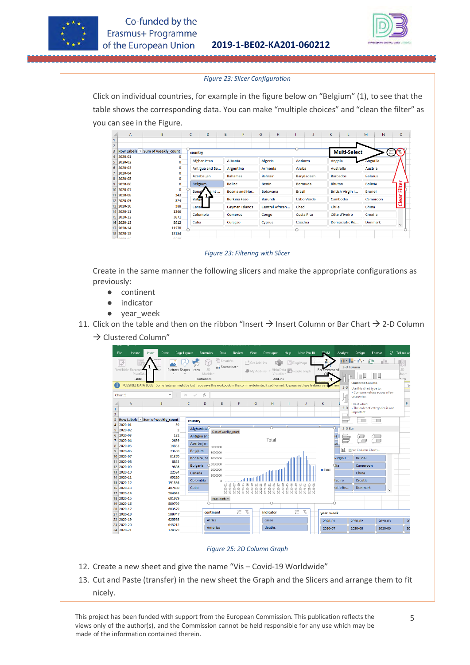



#### *Figure 23: Slicer Configuration*

Click on individual countries, for example in the figure below on "Belgium" (1), to see that the table shows the corresponding data. You can make "multiple choices" and "clean the filter" as you can see in the Figure.

|                | A              | B                                | c              | D              | E. | F.                  | G              | H               |               | J                 | K.    |                     | M              | N              | $\circ$ |  |
|----------------|----------------|----------------------------------|----------------|----------------|----|---------------------|----------------|-----------------|---------------|-------------------|-------|---------------------|----------------|----------------|---------|--|
|                |                |                                  |                |                |    |                     |                |                 |               |                   |       |                     |                |                |         |  |
| $\overline{c}$ |                |                                  |                |                |    |                     |                |                 |               |                   |       |                     |                |                |         |  |
| 3              |                | Row Labels v Sum of weekly count | country        |                |    |                     |                |                 |               |                   |       | <b>Multi-Select</b> |                |                | . ∛= 1  |  |
| 4              | 2020-01        |                                  |                |                |    |                     |                |                 |               |                   |       |                     |                |                |         |  |
| 5              | 2020-02        |                                  |                | Afghanistan    |    | Albania             | Algeria        |                 | Andorra       |                   |       | Angola              | Anguilla       |                |         |  |
| 6              | 2020-03        |                                  |                | Antigua and Ba |    | Argentina           |                | Armenia         | Aruba         |                   |       | Australia           | Austria        |                |         |  |
|                | 2020-04        |                                  |                |                |    | <b>Bahamas</b>      | <b>Bahrain</b> |                 |               | <b>Bangladesh</b> |       | <b>Barbados</b>     |                |                |         |  |
| 8              | 2020-05        |                                  |                | Azerbaijan     |    |                     |                |                 |               |                   |       |                     | <b>Belarus</b> |                |         |  |
|                | $9$ 2020-06    |                                  | <b>Belgium</b> |                |    | <b>Belize</b>       | <b>Benin</b>   |                 |               | Bermuda           |       | <b>Bhutan</b>       | <b>Bolivia</b> |                | liter   |  |
|                | 10 2020-07     |                                  | <b>Bonak</b>   | aint           |    | Bosnia and Her      |                | <b>Botswana</b> | <b>Brazil</b> |                   |       | British Virgin I    | <b>Brunei</b>  |                | щ       |  |
| 11             | 2020-08        | 343                              |                |                |    |                     |                |                 |               |                   |       |                     |                |                |         |  |
|                | 12 2020-09     | $-324$                           | <b>Bulga</b>   |                |    | <b>Burkina Faso</b> | <b>Burundi</b> |                 |               | Cabo Verde        |       | Cambodia            |                | Cameroon       | ඹී      |  |
|                | 13 2020-10     | 388                              | Canad          |                |    | Cayman Islands      |                | Central African | Chad          |                   | Chile |                     | China          |                | ರ       |  |
|                | 14 2020-11     | 1366                             |                | Colombia       |    | Comoros             |                |                 |               | Costa Rica        |       | Côte d'Ivoire       |                |                |         |  |
|                | 15 2020-12     | 3871                             |                |                |    |                     | Congo          |                 |               |                   |       |                     | Croatia        |                |         |  |
|                | 16 2020-13     | 8912                             | Cuba           |                |    | Curaçao             | Cyprus         |                 | Czechia       |                   |       | Democratic Re       |                | <b>Denmark</b> | v       |  |
|                | 17 2020-14     | 11278                            |                |                |    |                     |                |                 | O.            |                   |       |                     |                |                |         |  |
|                | 18 2020-15     | 13154                            |                |                |    |                     |                |                 |               |                   |       |                     |                |                |         |  |
|                | $20$ 0000 $25$ | $A - A$                          |                |                |    |                     |                |                 |               |                   |       |                     |                |                |         |  |

*Figure 23: Filtering with Slicer*

Create in the same manner the following slicers and make the appropriate configurations as previously:

- continent
- indicator
- year\_week
- 11. Click on the table and then on the ribbon "Insert  $\rightarrow$  Insert Column or Bar Chart  $\rightarrow$  2-D Column
	- $\rightarrow$  Clustered Column"



#### *Figure 25: 2D Column Graph*

- 12. Create a new sheet and give the name "Vis Covid-19 Worldwide"
- 13. Cut and Paste (transfer) in the new sheet the Graph and the Slicers and arrange them to fit nicely.

This project has been funded with support from the European Commission. This publication reflects the views only of the author(s), and the Commission cannot be held responsible for any use which may be made of the information contained therein.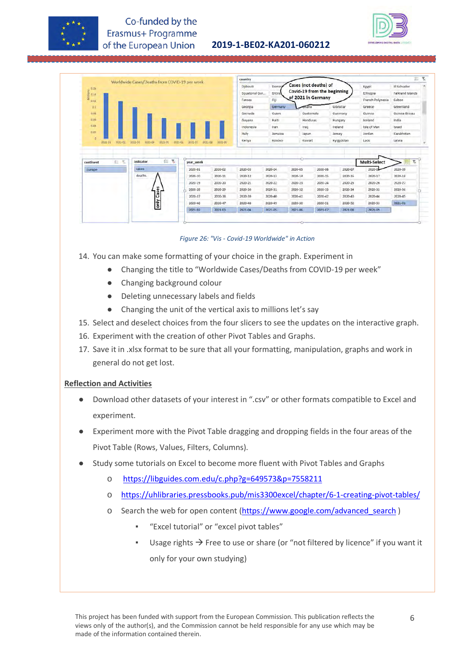



|                          | Worldwide Cases/Deaths from COVID-19 per week |                    |                    | country        |             |                       |                             |            |                  |                                 | 置<br>溢 |
|--------------------------|-----------------------------------------------|--------------------|--------------------|----------------|-------------|-----------------------|-----------------------------|------------|------------------|---------------------------------|--------|
|                          |                                               |                    |                    | Djibouti       | Domin       | Cases (not deaths) of |                             |            | Egypt            | El Salvador                     |        |
| Millions<br>2 0 14       |                                               |                    |                    | Equatorial Gui | Eritre.     |                       | Covid-19 from the beginning |            | Ethiopia         | Falkland Islands                |        |
| 0.11                     |                                               |                    |                    | Faroes         | Fiji        | of 2021 in Germany    |                             |            | French Polynesia | Gabon                           |        |
| 01                       |                                               |                    |                    | Georgia        | Germany     | ana                   |                             | Gibraltar  | Greece           | Greenland                       |        |
| 0.08                     |                                               |                    |                    | Grenada        | Guam        | Guatemala             |                             | Guernsey   | Guinea           | Guinea-Bissau                   |        |
| 0.06                     |                                               |                    |                    | Guyana         | Haiti       | Honduras              |                             | Hungary    | <b>Joeland</b>   | India                           |        |
| 0.04                     |                                               |                    |                    | Indonesia      | Iran        | Iraq                  |                             | Ireland    | Isle of Man      | Israel                          |        |
| 0.07                     |                                               |                    |                    | Italy          | Jamaica     | Japan                 |                             | Jersey     | Jordan           | Kazakhstan                      |        |
|                          |                                               |                    |                    |                |             |                       |                             |            |                  |                                 |        |
| i0<br>2021-02<br>2021-01 | 2021-03<br>2021-04<br>2021-05                 | 2021-06<br>2021-07 | 2021-08<br>2021-09 | Kenya          | Kosovo      | Kuwait                |                             | Kyrgyzstan | Laos             | Latvia                          |        |
| 主.<br>光<br>continent     | 這<br>冢<br>indicator                           | year_week          |                    |                |             |                       |                             |            | Multi-Select     | 扫<br>$\overline{\tau}_\text{c}$ |        |
| Europe                   | cases                                         | 2020-01            | 2020-02            | 2020-03        | 2020-04     | 2020-05               | 2020-06                     | 2020-07    | 2020-0           | 2020-09                         |        |
|                          | deaths                                        | 2020-10            | 2020-11            | 2020-12        | 2020-13     | 2020-14               | 2020-15                     | 2020-16    | 2020-17          | 2020-18                         |        |
|                          |                                               | 2020-19            | 2020-20            | 2020-21        | 2020-22     | 2020-23               | 2020-24                     | 2020-25    | 2020-26          | 2020-27                         |        |
|                          |                                               | 2020-28            | 2020-29            | 2020-30        | 2020-31     | 2020-32               | 2020-33                     | 2020-34    | 2020-35          | 2020-36                         |        |
|                          | Cases                                         | 2020-37            | 2020-38            | 2020-39        | 2020-40     | 2020-41               | 2020-42                     | 2020-43    | 2020-44          | 2020-45                         |        |
|                          | only                                          | 2020-46            | 2020-47            | $2020 - 48$    | $2020 - 49$ | 2020-50               | 2020-51                     | 2020-52    | 2020-53          | 2021-01                         |        |

*Figure 26: "Vis - Covid-19 Worldwide" in Action*

- 14. You can make some formatting of your choice in the graph. Experiment in
	- Changing the title to "Worldwide Cases/Deaths from COVID-19 per week"
	- Changing background colour
	- Deleting unnecessary labels and fields
	- Changing the unit of the vertical axis to millions let's say
- 15. Select and deselect choices from the four slicers to see the updates on the interactive graph.
- 16. Experiment with the creation of other Pivot Tables and Graphs.
- 17. Save it in .xlsx format to be sure that all your formatting, manipulation, graphs and work in general do not get lost.

#### **Reflection and Activities**

- Download other datasets of your interest in ".csv" or other formats compatible to Excel and experiment.
- Experiment more with the Pivot Table dragging and dropping fields in the four areas of the Pivot Table (Rows, Values, Filters, Columns).
- Study some tutorials on Excel to become more fluent with Pivot Tables and Graphs
	- o <https://libguides.com.edu/c.php?g=649573&p=7558211>
	- o <https://uhlibraries.pressbooks.pub/mis3300excel/chapter/6-1-creating-pivot-tables/>
	- o Search the web for open content [\(https://www.google.com/advanced\\_search](https://www.google.com/advanced_search) )
		- "Excel tutorial" or "excel pivot tables"
		- Usage rights  $\rightarrow$  Free to use or share (or "not filtered by licence" if you want it only for your own studying)